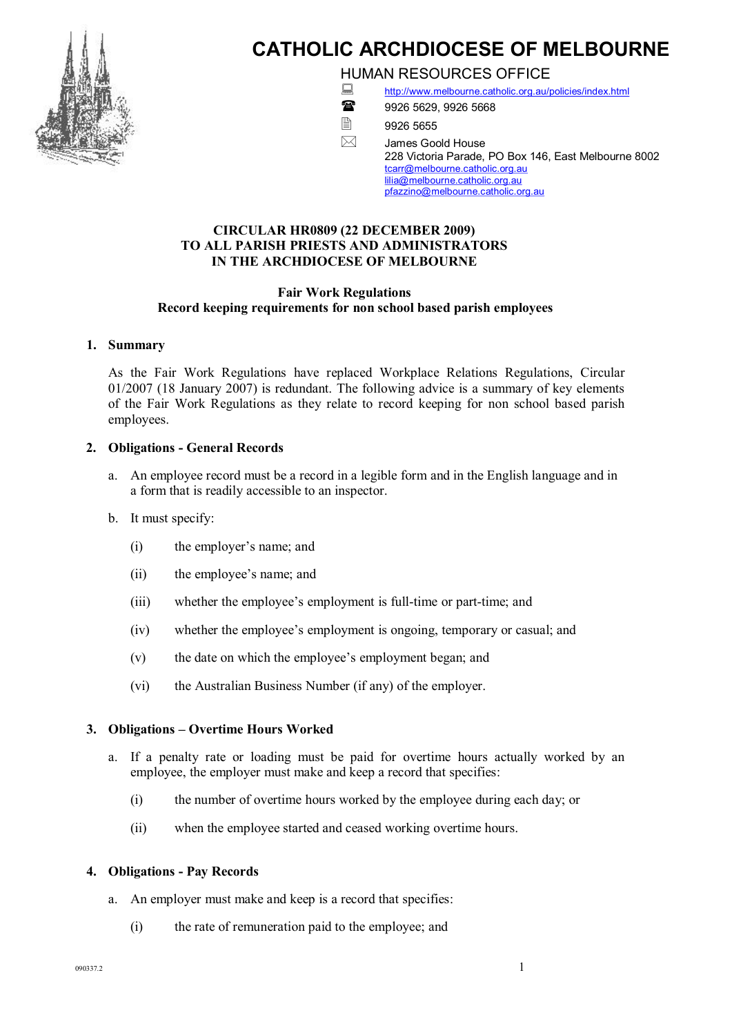

# **CATHOLIC ARCHDIOCESE OF MELBOURNE**

HUMAN RESOURCES OFFICE

<http://www.melbourne.catholic.org.au/policies/index.html>



1888 9926 5629, 9926 5668

■2 9926 5655

 $\boxtimes$  James Goold House 228 Victoria Parade, PO Box 146, East Melbourne 8002 [tcarr@melbourne.catholic.org.au](mailto:tcarr@melbourne.catholic.org.au) [lilia@melbourne.catholic.org.au](mailto:rodparker@melbourne.catholic.org.au) [pfazzino@melbourne.catholic.org.au](mailto:pfazzino@melbourne.catholic.org.au)

## **CIRCULAR HR0809 (22 DECEMBER 2009) TO ALL PARISH PRIESTS AND ADMINISTRATORS IN THE ARCHDIOCESE OF MELBOURNE**

## **Fair Work Regulations Record keeping requirements for non school based parish employees**

## **1. Summary**

As the Fair Work Regulations have replaced Workplace Relations Regulations, Circular 01/2007 (18 January 2007) is redundant. The following advice is a summary of key elements of the Fair Work Regulations as they relate to record keeping for non school based parish employees.

## **2. Obligations General Records**

- a. An employee record must be a record in a legible form and in the English language and in a form that is readily accessible to an inspector.
- b. It must specify:
	- (i) the employer's name; and
	- (ii) the employee's name; and
	- (iii) whether the employee's employment is full-time or part-time; and
	- (iv) whether the employee's employment is ongoing, temporary or casual; and
	- (v) the date on which the employee's employment began; and
	- (vi) the Australian Business Number (if any) of the employer.

## **3. Obligations – Overtime Hours Worked**

- a. If a penalty rate or loading must be paid for overtime hours actually worked by an employee, the employer must make and keep a record that specifies:
	- (i) the number of overtime hours worked by the employee during each day; or
	- (ii) when the employee started and ceased working overtime hours.

### **4. Obligations Pay Records**

- a. An employer must make and keep is a record that specifies:
	- (i) the rate of remuneration paid to the employee; and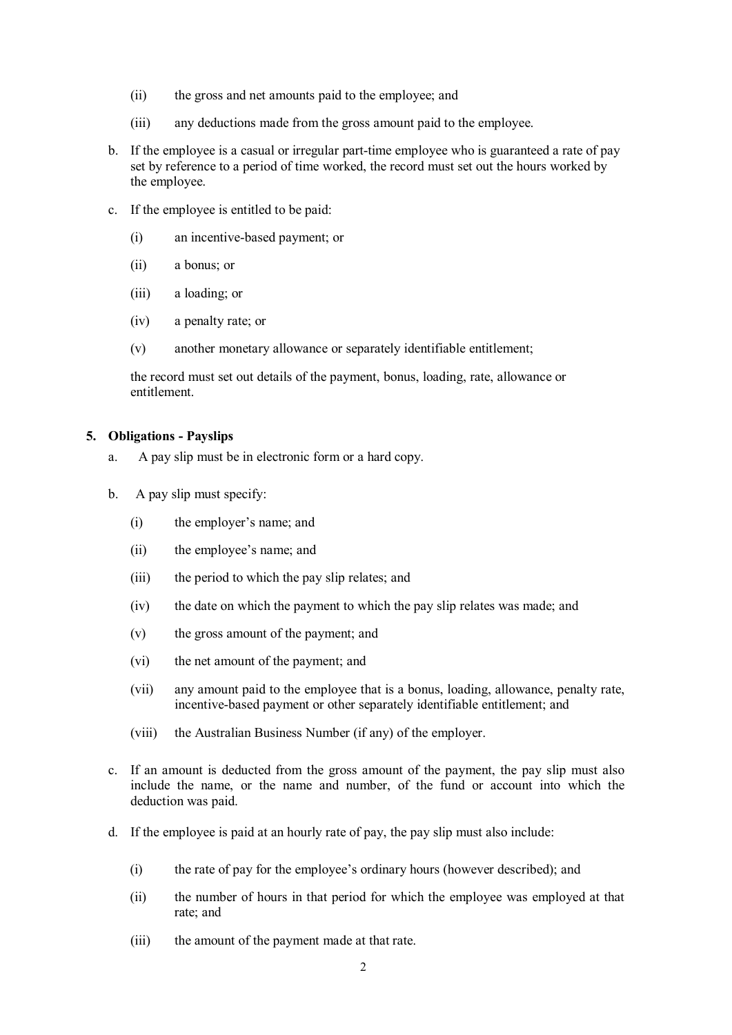- (ii) the gross and net amounts paid to the employee; and
- (iii) any deductions made from the gross amount paid to the employee.
- b. If the employee is a casual or irregular part-time employee who is guaranteed a rate of pay set by reference to a period of time worked, the record must set out the hours worked by the employee.
- c. If the employee is entitled to be paid:
	- (i) an incentivebased payment; or
	- (ii) a bonus; or
	- (iii) a loading; or
	- (iv) a penalty rate; or
	- (v) another monetary allowance or separately identifiable entitlement;

the record must set out details of the payment, bonus, loading, rate, allowance or entitlement.

#### **5. Obligations Payslips**

- a. A pay slip must be in electronic form or a hard copy.
- b. A pay slip must specify:
	- (i) the employer's name; and
	- (ii) the employee's name; and
	- (iii) the period to which the pay slip relates; and
	- (iv) the date on which the payment to which the pay slip relates was made; and
	- (v) the gross amount of the payment; and
	- (vi) the net amount of the payment; and
	- (vii) any amount paid to the employee that is a bonus, loading, allowance, penalty rate, incentive-based payment or other separately identifiable entitlement; and
	- (viii) the Australian Business Number (if any) of the employer.
- c. If an amount is deducted from the gross amount of the payment, the pay slip must also include the name, or the name and number, of the fund or account into which the deduction was paid.
- d. If the employee is paid at an hourly rate of pay, the pay slip must also include:
	- (i) the rate of pay for the employee's ordinary hours (however described); and
	- (ii) the number of hours in that period for which the employee was employed at that rate; and
	- (iii) the amount of the payment made at that rate.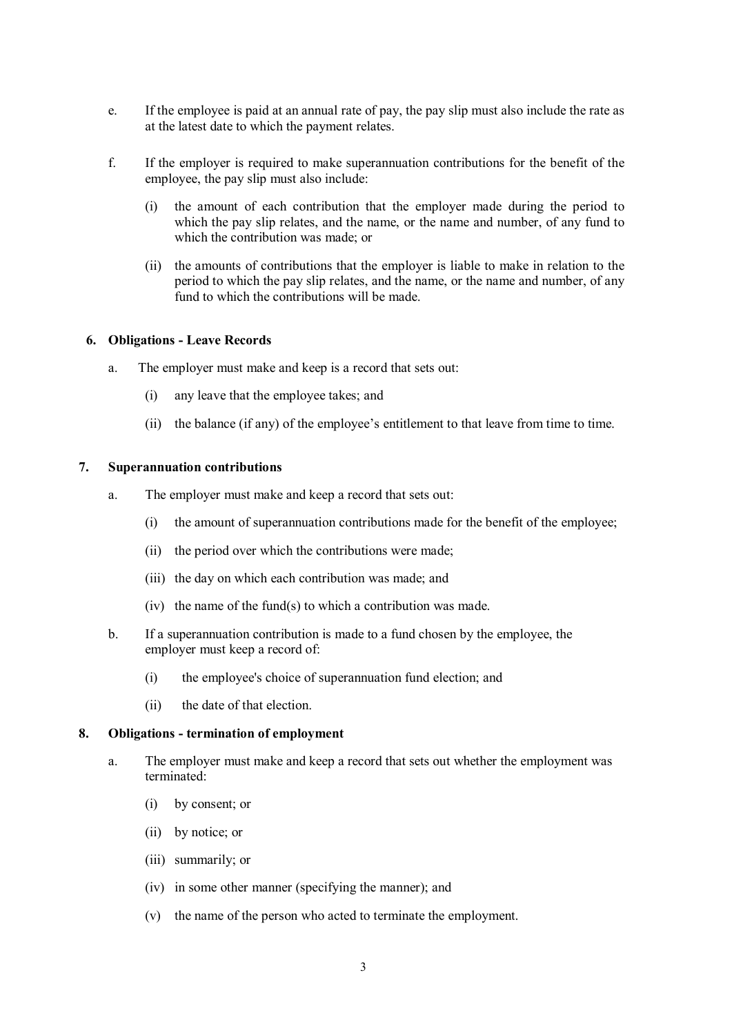- e. If the employee is paid at an annual rate of pay, the pay slip must also include the rate as at the latest date to which the payment relates.
- f. If the employer is required to make superannuation contributions for the benefit of the employee, the pay slip must also include:
	- (i) the amount of each contribution that the employer made during the period to which the pay slip relates, and the name, or the name and number, of any fund to which the contribution was made; or
	- (ii) the amounts of contributions that the employer is liable to make in relation to the period to which the pay slip relates, and the name, or the name and number, of any fund to which the contributions will be made.

### **6. Obligations Leave Records**

- a. The employer must make and keep is a record that sets out:
	- (i) any leave that the employee takes; and
	- (ii) the balance (if any) of the employee's entitlement to that leave from time to time.

#### **7. Superannuation contributions**

- a. The employer must make and keep a record that sets out:
	- (i) the amount of superannuation contributions made for the benefit of the employee;
	- (ii) the period over which the contributions were made;
	- (iii) the day on which each contribution was made; and
	- (iv) the name of the fund(s) to which a contribution was made.
- b. If a superannuation contribution is made to a fund chosen by the employee, the employer must keep a record of:
	- (i) the employee's choice of superannuation fund election; and
	- (ii) the date of that election.

### **8. Obligations termination of employment**

- a. The employer must make and keep a record that sets out whether the employment was terminated:
	- (i) by consent; or
	- (ii) by notice; or
	- (iii) summarily; or
	- (iv) in some other manner (specifying the manner); and
	- (v) the name of the person who acted to terminate the employment.